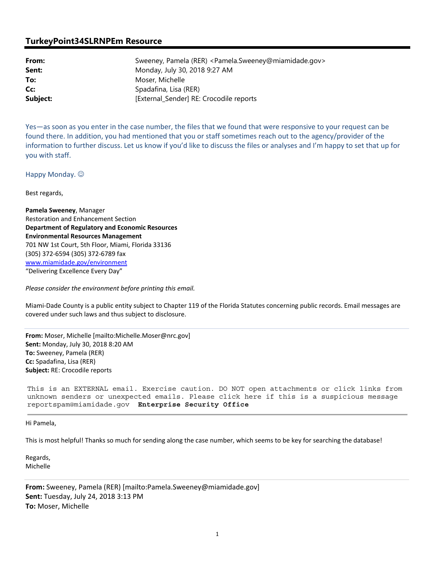## **TurkeyPoint34SLRNPEm Resource**

| From:    | Sweeney, Pamela (RER) <pamela.sweeney@miamidade.gov></pamela.sweeney@miamidade.gov> |
|----------|-------------------------------------------------------------------------------------|
| Sent:    | Monday, July 30, 2018 9:27 AM                                                       |
| To:      | Moser, Michelle                                                                     |
| Cc:      | Spadafina, Lisa (RER)                                                               |
| Subject: | [External_Sender] RE: Crocodile reports                                             |

Yes—as soon as you enter in the case number, the files that we found that were responsive to your request can be found there. In addition, you had mentioned that you or staff sometimes reach out to the agency/provider of the information to further discuss. Let us know if you'd like to discuss the files or analyses and I'm happy to set that up for you with staff.

Happy Monday.  $\odot$ 

Best regards,

**Pamela Sweeney**, Manager Restoration and Enhancement Section **Department of Regulatory and Economic Resources Environmental Resources Management** 701 NW 1st Court, 5th Floor, Miami, Florida 33136 (305) 372-6594 (305) 372-6789 fax www.miamidade.gov/environment "Delivering Excellence Every Day"

*Please consider the environment before printing this email.* 

Miami-Dade County is a public entity subject to Chapter 119 of the Florida Statutes concerning public records. Email messages are covered under such laws and thus subject to disclosure.

**From:** Moser, Michelle [mailto:Michelle.Moser@nrc.gov] **Sent:** Monday, July 30, 2018 8:20 AM **To:** Sweeney, Pamela (RER) **Cc:** Spadafina, Lisa (RER) **Subject:** RE: Crocodile reports

This is an EXTERNAL email. Exercise caution. DO NOT open attachments or click links from unknown senders or unexpected emails. Please click here if this is a suspicious message reportspam@miamidade.gov **Enterprise Security Office** 

Hi Pamela,

This is most helpful! Thanks so much for sending along the case number, which seems to be key for searching the database!

Regards, Michelle

**From:** Sweeney, Pamela (RER) [mailto:Pamela.Sweeney@miamidade.gov] **Sent:** Tuesday, July 24, 2018 3:13 PM **To:** Moser, Michelle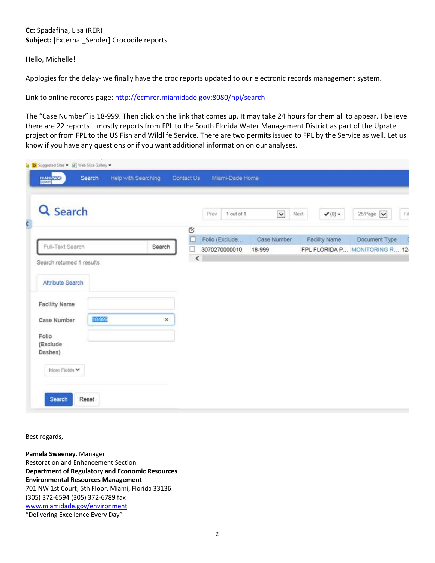## **Cc:** Spadafina, Lisa (RER) **Subject:** [External\_Sender] Crocodile reports

Hello, Michelle!

Apologies for the delay- we finally have the croc reports updated to our electronic records management system.

Link to online records page: http://ecmrer.miamidade.gov:8080/hpi/search

The "Case Number" is 18-999. Then click on the link that comes up. It may take 24 hours for them all to appear. I believe there are 22 reports—mostly reports from FPL to the South Florida Water Management District as part of the Uprate project or from FPL to the US Fish and Wildlife Service. There are two permits issued to FPL by the Service as well. Let us know if you have any questions or if you want additional information on our analyses.

| Q Search                  |        |          | Prev    | 1 out of 1     | $\check{ }$ | Next<br>$\blacktriangledown$ (0) $\blacktriangledown$ | FA<br>$25$ Page $\blacktriangleright$ |
|---------------------------|--------|----------|---------|----------------|-------------|-------------------------------------------------------|---------------------------------------|
|                           |        |          | C<br>È  | Folio (Exclude | Case Number | Facility Name                                         | Document Type                         |
| Full-Text Search          |        | Search   | Ω       | 3070270000010  | 18-999      |                                                       | FPL FLORIDA P MONITORING R 12-        |
| Search returned 1 results |        |          | $\prec$ |                |             |                                                       |                                       |
| Attribute Search          |        |          |         |                |             |                                                       |                                       |
|                           |        |          |         |                |             |                                                       |                                       |
| <b>Facility Name</b>      |        |          |         |                |             |                                                       |                                       |
| Case Number               | 18-999 | $\times$ |         |                |             |                                                       |                                       |
|                           |        |          |         |                |             |                                                       |                                       |
| Folio                     |        |          |         |                |             |                                                       |                                       |
|                           |        |          |         |                |             |                                                       |                                       |
| (Exclude)                 |        |          |         |                |             |                                                       |                                       |

Best regards,

**Pamela Sweeney**, Manager Restoration and Enhancement Section **Department of Regulatory and Economic Resources Environmental Resources Management** 701 NW 1st Court, 5th Floor, Miami, Florida 33136 (305) 372-6594 (305) 372-6789 fax www.miamidade.gov/environment "Delivering Excellence Every Day"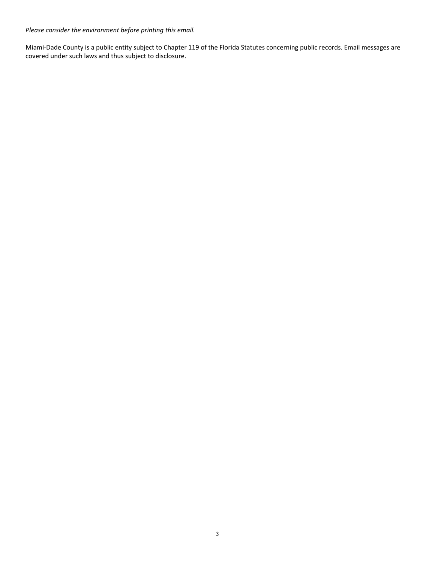*Please consider the environment before printing this email.* 

Miami-Dade County is a public entity subject to Chapter 119 of the Florida Statutes concerning public records. Email messages are covered under such laws and thus subject to disclosure.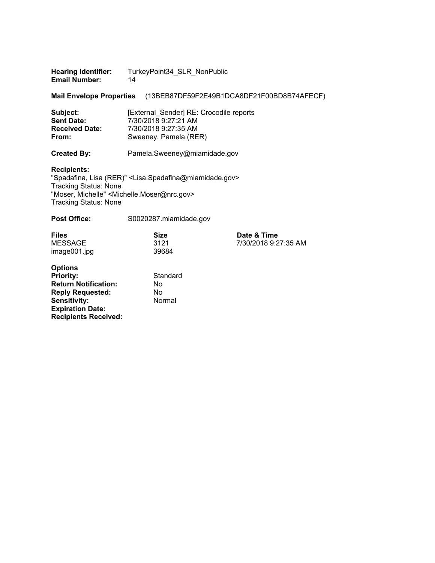| <b>Hearing Identifier:</b> | TurkeyPoint34_SLR_NonPublic |
|----------------------------|-----------------------------|
| <b>Email Number:</b>       | 14                          |

**Mail Envelope Properties** (13BEB87DF59F2E49B1DCA8DF21F00BD8B74AFECF)

| Subject:              | [External Sender] RE: Crocodile reports |
|-----------------------|-----------------------------------------|
| <b>Sent Date:</b>     | 7/30/2018 9:27:21 AM                    |
| <b>Received Date:</b> | 7/30/2018 9:27:35 AM                    |
| From:                 | Sweeney, Pamela (RER)                   |

**Created By:** Pamela.Sweeney@miamidade.gov

## **Recipients:**

"Spadafina, Lisa (RER)" <Lisa.Spadafina@miamidade.gov> Tracking Status: None "Moser, Michelle" <Michelle.Moser@nrc.gov> Tracking Status: None

| <b>Post Office:</b>                                                                                                                                                           | S0020287.miamidade.gov           |                                     |
|-------------------------------------------------------------------------------------------------------------------------------------------------------------------------------|----------------------------------|-------------------------------------|
| <b>Files</b><br><b>MESSAGE</b><br>image001.jpg                                                                                                                                | <b>Size</b><br>3121<br>39684     | Date & Time<br>7/30/2018 9:27:35 AM |
| <b>Options</b><br><b>Priority:</b><br><b>Return Notification:</b><br><b>Reply Requested:</b><br><b>Sensitivity:</b><br><b>Expiration Date:</b><br><b>Recipients Received:</b> | Standard<br>No.<br>No.<br>Normal |                                     |